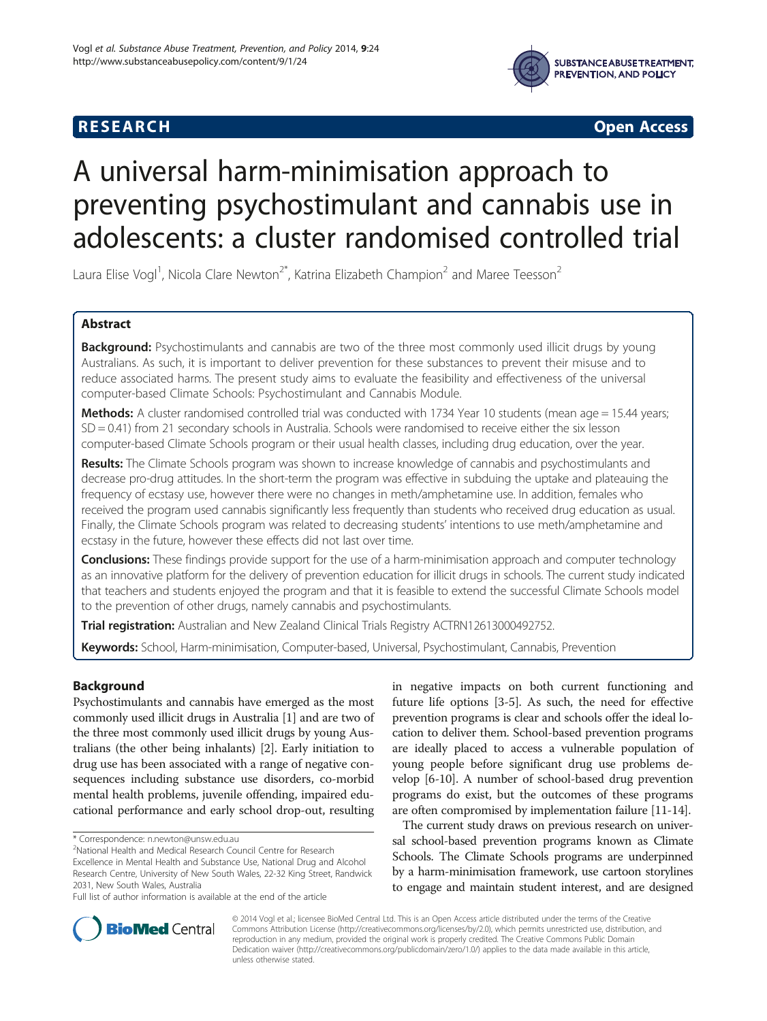# **RESEARCH CHINESEARCH CHINESEARCH CHINESE**



# A universal harm-minimisation approach to preventing psychostimulant and cannabis use in adolescents: a cluster randomised controlled trial

Laura Elise Vogl<sup>1</sup>, Nicola Clare Newton<sup>2\*</sup>, Katrina Elizabeth Champion<sup>2</sup> and Maree Teesson<sup>2</sup>

# Abstract

Background: Psychostimulants and cannabis are two of the three most commonly used illicit drugs by young Australians. As such, it is important to deliver prevention for these substances to prevent their misuse and to reduce associated harms. The present study aims to evaluate the feasibility and effectiveness of the universal computer-based Climate Schools: Psychostimulant and Cannabis Module.

Methods: A cluster randomised controlled trial was conducted with 1734 Year 10 students (mean age = 15.44 years; SD = 0.41) from 21 secondary schools in Australia. Schools were randomised to receive either the six lesson computer-based Climate Schools program or their usual health classes, including drug education, over the year.

Results: The Climate Schools program was shown to increase knowledge of cannabis and psychostimulants and decrease pro-drug attitudes. In the short-term the program was effective in subduing the uptake and plateauing the frequency of ecstasy use, however there were no changes in meth/amphetamine use. In addition, females who received the program used cannabis significantly less frequently than students who received drug education as usual. Finally, the Climate Schools program was related to decreasing students' intentions to use meth/amphetamine and ecstasy in the future, however these effects did not last over time.

**Conclusions:** These findings provide support for the use of a harm-minimisation approach and computer technology as an innovative platform for the delivery of prevention education for illicit drugs in schools. The current study indicated that teachers and students enjoyed the program and that it is feasible to extend the successful Climate Schools model to the prevention of other drugs, namely cannabis and psychostimulants.

**Trial registration:** Australian and New Zealand Clinical Trials Registry [ACTRN12613000492752](https://www.anzctr.org.au/Trial/Registration/TrialReview.aspx?id=364137).

Keywords: School, Harm-minimisation, Computer-based, Universal, Psychostimulant, Cannabis, Prevention

# Background

Psychostimulants and cannabis have emerged as the most commonly used illicit drugs in Australia [\[1](#page-12-0)] and are two of the three most commonly used illicit drugs by young Australians (the other being inhalants) [\[2](#page-12-0)]. Early initiation to drug use has been associated with a range of negative consequences including substance use disorders, co-morbid mental health problems, juvenile offending, impaired educational performance and early school drop-out, resulting

<sup>2</sup>National Health and Medical Research Council Centre for Research Excellence in Mental Health and Substance Use, National Drug and Alcohol Research Centre, University of New South Wales, 22-32 King Street, Randwick 2031, New South Wales, Australia

in negative impacts on both current functioning and future life options [[3-5](#page-12-0)]. As such, the need for effective prevention programs is clear and schools offer the ideal location to deliver them. School-based prevention programs are ideally placed to access a vulnerable population of young people before significant drug use problems develop [\[6-10\]](#page-12-0). A number of school-based drug prevention programs do exist, but the outcomes of these programs are often compromised by implementation failure [[11](#page-12-0)-[14](#page-12-0)].

The current study draws on previous research on universal school-based prevention programs known as Climate Schools. The Climate Schools programs are underpinned by a harm-minimisation framework, use cartoon storylines to engage and maintain student interest, and are designed



© 2014 Vogl et al.; licensee BioMed Central Ltd. This is an Open Access article distributed under the terms of the Creative Commons Attribution License [\(http://creativecommons.org/licenses/by/2.0\)](http://creativecommons.org/licenses/by/2.0), which permits unrestricted use, distribution, and reproduction in any medium, provided the original work is properly credited. The Creative Commons Public Domain Dedication waiver [\(http://creativecommons.org/publicdomain/zero/1.0/](http://creativecommons.org/publicdomain/zero/1.0/)) applies to the data made available in this article, unless otherwise stated.

<sup>\*</sup> Correspondence: [n.newton@unsw.edu.au](mailto:n.newton@unsw.edu.au) <sup>2</sup>

Full list of author information is available at the end of the article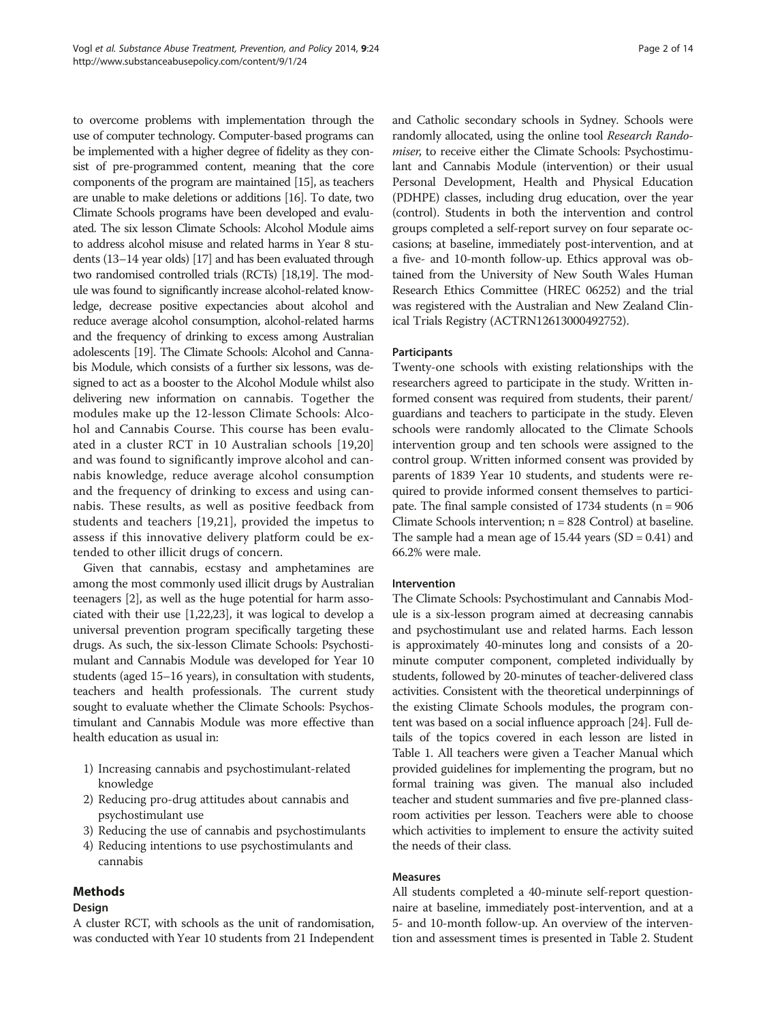to overcome problems with implementation through the use of computer technology. Computer-based programs can be implemented with a higher degree of fidelity as they consist of pre-programmed content, meaning that the core components of the program are maintained [\[15\]](#page-12-0), as teachers are unable to make deletions or additions [\[16](#page-12-0)]. To date, two Climate Schools programs have been developed and evaluated. The six lesson Climate Schools: Alcohol Module aims to address alcohol misuse and related harms in Year 8 students (13–14 year olds) [[17\]](#page-12-0) and has been evaluated through two randomised controlled trials (RCTs) [[18,19](#page-12-0)]. The module was found to significantly increase alcohol-related knowledge, decrease positive expectancies about alcohol and reduce average alcohol consumption, alcohol-related harms and the frequency of drinking to excess among Australian adolescents [\[19](#page-12-0)]. The Climate Schools: Alcohol and Cannabis Module, which consists of a further six lessons, was designed to act as a booster to the Alcohol Module whilst also delivering new information on cannabis. Together the modules make up the 12-lesson Climate Schools: Alcohol and Cannabis Course. This course has been evaluated in a cluster RCT in 10 Australian schools [[19,20](#page-12-0)] and was found to significantly improve alcohol and cannabis knowledge, reduce average alcohol consumption and the frequency of drinking to excess and using cannabis. These results, as well as positive feedback from students and teachers [[19,21](#page-12-0)], provided the impetus to assess if this innovative delivery platform could be extended to other illicit drugs of concern.

Given that cannabis, ecstasy and amphetamines are among the most commonly used illicit drugs by Australian teenagers [\[2](#page-12-0)], as well as the huge potential for harm associated with their use [[1,22,23\]](#page-12-0), it was logical to develop a universal prevention program specifically targeting these drugs. As such, the six-lesson Climate Schools: Psychostimulant and Cannabis Module was developed for Year 10 students (aged 15–16 years), in consultation with students, teachers and health professionals. The current study sought to evaluate whether the Climate Schools: Psychostimulant and Cannabis Module was more effective than health education as usual in:

- 1) Increasing cannabis and psychostimulant-related knowledge
- 2) Reducing pro-drug attitudes about cannabis and psychostimulant use
- 3) Reducing the use of cannabis and psychostimulants
- 4) Reducing intentions to use psychostimulants and cannabis

#### Methods

#### Design

A cluster RCT, with schools as the unit of randomisation, was conducted with Year 10 students from 21 Independent

and Catholic secondary schools in Sydney. Schools were randomly allocated, using the online tool Research Randomiser, to receive either the Climate Schools: Psychostimulant and Cannabis Module (intervention) or their usual Personal Development, Health and Physical Education (PDHPE) classes, including drug education, over the year (control). Students in both the intervention and control groups completed a self-report survey on four separate occasions; at baseline, immediately post-intervention, and at a five- and 10-month follow-up. Ethics approval was obtained from the University of New South Wales Human Research Ethics Committee (HREC 06252) and the trial was registered with the Australian and New Zealand Clinical Trials Registry (ACTRN12613000492752).

#### Participants

Twenty-one schools with existing relationships with the researchers agreed to participate in the study. Written informed consent was required from students, their parent/ guardians and teachers to participate in the study. Eleven schools were randomly allocated to the Climate Schools intervention group and ten schools were assigned to the control group. Written informed consent was provided by parents of 1839 Year 10 students, and students were required to provide informed consent themselves to participate. The final sample consisted of  $1734$  students (n =  $906$ Climate Schools intervention; n = 828 Control) at baseline. The sample had a mean age of  $15.44$  years (SD = 0.41) and 66.2% were male.

#### Intervention

The Climate Schools: Psychostimulant and Cannabis Module is a six-lesson program aimed at decreasing cannabis and psychostimulant use and related harms. Each lesson is approximately 40-minutes long and consists of a 20 minute computer component, completed individually by students, followed by 20-minutes of teacher-delivered class activities. Consistent with the theoretical underpinnings of the existing Climate Schools modules, the program content was based on a social influence approach [[24](#page-12-0)]. Full details of the topics covered in each lesson are listed in Table [1](#page-2-0). All teachers were given a Teacher Manual which provided guidelines for implementing the program, but no formal training was given. The manual also included teacher and student summaries and five pre-planned classroom activities per lesson. Teachers were able to choose which activities to implement to ensure the activity suited the needs of their class.

#### Measures

All students completed a 40-minute self-report questionnaire at baseline, immediately post-intervention, and at a 5- and 10-month follow-up. An overview of the intervention and assessment times is presented in Table [2.](#page-3-0) Student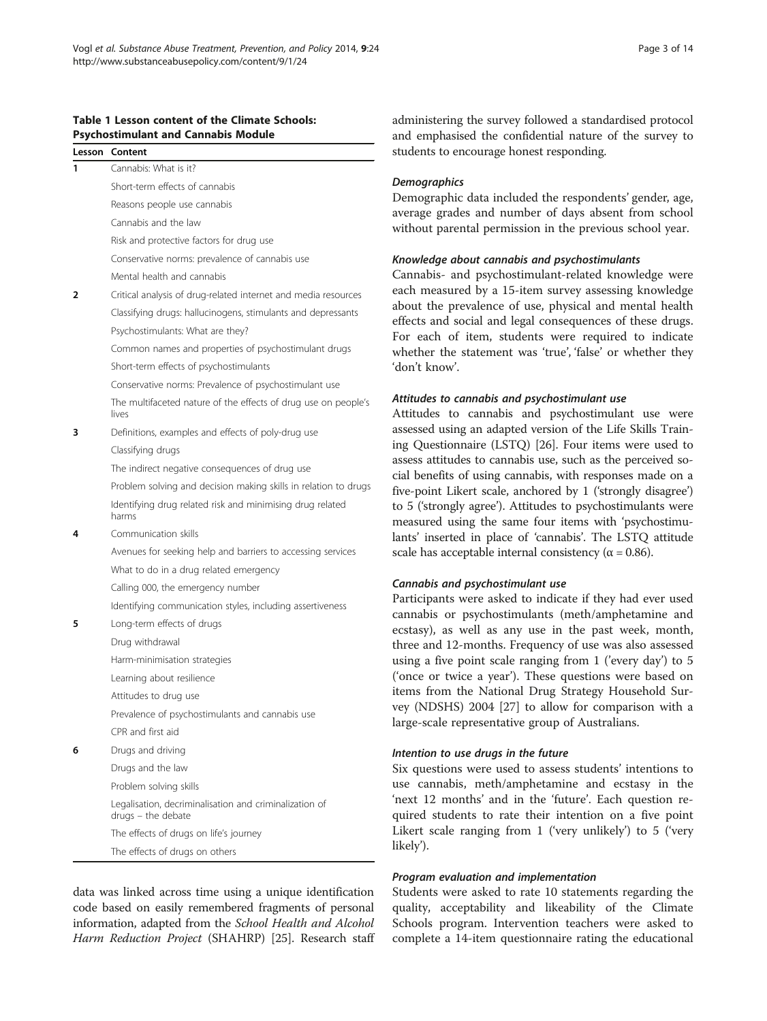#### <span id="page-2-0"></span>Table 1 Lesson content of the Climate Schools: Psychostimulant and Cannabis Module

|   | Lesson Content                                                               |
|---|------------------------------------------------------------------------------|
| 1 | Cannabis: What is it?                                                        |
|   | Short-term effects of cannabis                                               |
|   | Reasons people use cannabis                                                  |
|   | Cannabis and the law                                                         |
|   | Risk and protective factors for drug use                                     |
|   | Conservative norms: prevalence of cannabis use                               |
|   | Mental health and cannabis                                                   |
| 2 | Critical analysis of drug-related internet and media resources               |
|   | Classifying drugs: hallucinogens, stimulants and depressants                 |
|   | Psychostimulants: What are they?                                             |
|   | Common names and properties of psychostimulant drugs                         |
|   | Short-term effects of psychostimulants                                       |
|   | Conservative norms: Prevalence of psychostimulant use                        |
|   | The multifaceted nature of the effects of drug use on people's<br>lives      |
| 3 | Definitions, examples and effects of poly-drug use                           |
|   | Classifying drugs                                                            |
|   | The indirect negative consequences of drug use                               |
|   | Problem solving and decision making skills in relation to drugs              |
|   | Identifying drug related risk and minimising drug related<br>harms           |
| 4 | Communication skills                                                         |
|   | Avenues for seeking help and barriers to accessing services                  |
|   | What to do in a drug related emergency                                       |
|   | Calling 000, the emergency number                                            |
|   | Identifying communication styles, including assertiveness                    |
| 5 | Long-term effects of drugs                                                   |
|   | Drug withdrawal                                                              |
|   | Harm-minimisation strategies                                                 |
|   | Learning about resilience                                                    |
|   | Attitudes to drug use                                                        |
|   | Prevalence of psychostimulants and cannabis use                              |
|   | CPR and first aid                                                            |
| 6 | Drugs and driving                                                            |
|   | Drugs and the law                                                            |
|   | Problem solving skills                                                       |
|   | Legalisation, decriminalisation and criminalization of<br>drugs - the debate |
|   | The effects of drugs on life's journey                                       |
|   | The effects of drugs on others                                               |

data was linked across time using a unique identification code based on easily remembered fragments of personal information, adapted from the School Health and Alcohol Harm Reduction Project (SHAHRP) [[25](#page-12-0)]. Research staff

administering the survey followed a standardised protocol and emphasised the confidential nature of the survey to students to encourage honest responding.

#### **Demographics**

Demographic data included the respondents' gender, age, average grades and number of days absent from school without parental permission in the previous school year.

## Knowledge about cannabis and psychostimulants

Cannabis- and psychostimulant-related knowledge were each measured by a 15-item survey assessing knowledge about the prevalence of use, physical and mental health effects and social and legal consequences of these drugs. For each of item, students were required to indicate whether the statement was 'true', 'false' or whether they 'don't know'.

#### Attitudes to cannabis and psychostimulant use

Attitudes to cannabis and psychostimulant use were assessed using an adapted version of the Life Skills Training Questionnaire (LSTQ) [[26](#page-13-0)]. Four items were used to assess attitudes to cannabis use, such as the perceived social benefits of using cannabis, with responses made on a five-point Likert scale, anchored by 1 ('strongly disagree') to 5 ('strongly agree'). Attitudes to psychostimulants were measured using the same four items with 'psychostimulants' inserted in place of 'cannabis'. The LSTQ attitude scale has acceptable internal consistency ( $\alpha$  = 0.86).

#### Cannabis and psychostimulant use

Participants were asked to indicate if they had ever used cannabis or psychostimulants (meth/amphetamine and ecstasy), as well as any use in the past week, month, three and 12-months. Frequency of use was also assessed using a five point scale ranging from 1 ('every day') to 5 ('once or twice a year'). These questions were based on items from the National Drug Strategy Household Survey (NDSHS) 2004 [[27\]](#page-13-0) to allow for comparison with a large-scale representative group of Australians.

#### Intention to use drugs in the future

Six questions were used to assess students' intentions to use cannabis, meth/amphetamine and ecstasy in the 'next 12 months' and in the 'future'. Each question required students to rate their intention on a five point Likert scale ranging from 1 ('very unlikely') to 5 ('very likely').

#### Program evaluation and implementation

Students were asked to rate 10 statements regarding the quality, acceptability and likeability of the Climate Schools program. Intervention teachers were asked to complete a 14-item questionnaire rating the educational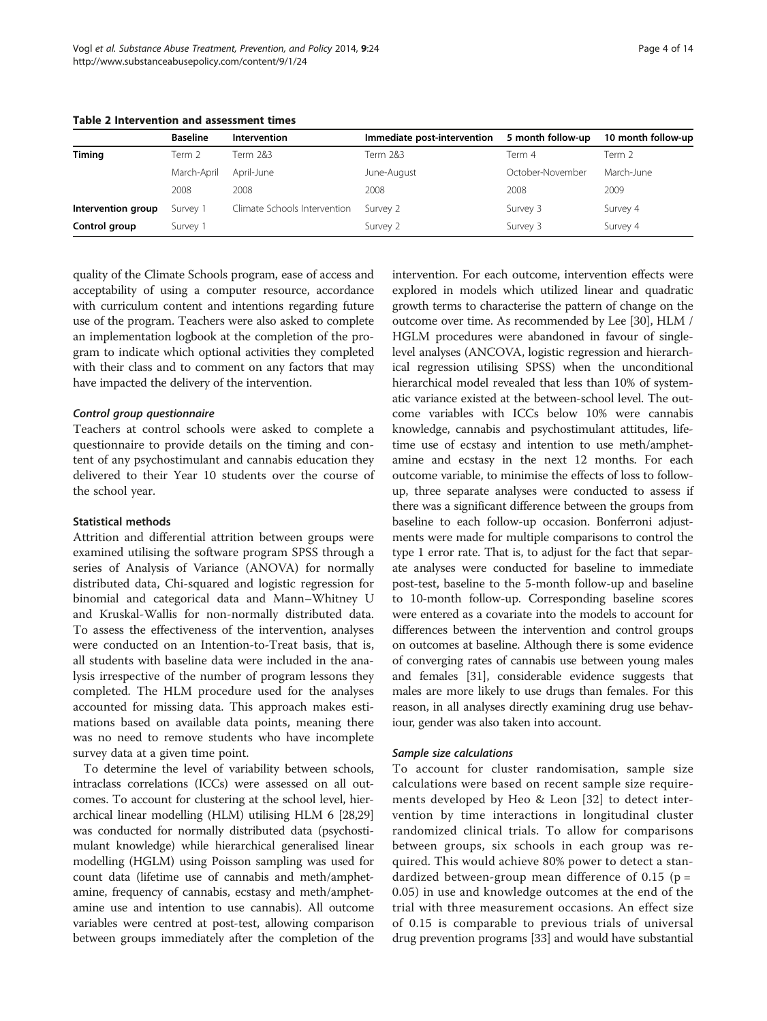|                    | <b>Baseline</b> | Intervention                 | Immediate post-intervention | 5 month follow-up | 10 month follow-up |
|--------------------|-----------------|------------------------------|-----------------------------|-------------------|--------------------|
| <b>Timing</b>      | Term 2          | Term 2&3                     | Term 2&3                    | Term 4            | Term 2             |
|                    | March-April     | April-June                   | June-August                 | October-November  | March-June         |
|                    | 2008            | 2008                         | 2008                        | 2008              | 2009               |
| Intervention group | Survey 1        | Climate Schools Intervention | Survey 2                    | Survey 3          | Survey 4           |
| Control group      | Survey 1        |                              | Survey 2                    | Survey 3          | Survey 4           |

<span id="page-3-0"></span>Table 2 Intervention and assessment times

quality of the Climate Schools program, ease of access and acceptability of using a computer resource, accordance with curriculum content and intentions regarding future use of the program. Teachers were also asked to complete an implementation logbook at the completion of the program to indicate which optional activities they completed with their class and to comment on any factors that may have impacted the delivery of the intervention.

#### Control group questionnaire

Teachers at control schools were asked to complete a questionnaire to provide details on the timing and content of any psychostimulant and cannabis education they delivered to their Year 10 students over the course of the school year.

#### Statistical methods

Attrition and differential attrition between groups were examined utilising the software program SPSS through a series of Analysis of Variance (ANOVA) for normally distributed data, Chi-squared and logistic regression for binomial and categorical data and Mann–Whitney U and Kruskal-Wallis for non-normally distributed data. To assess the effectiveness of the intervention, analyses were conducted on an Intention-to-Treat basis, that is, all students with baseline data were included in the analysis irrespective of the number of program lessons they completed. The HLM procedure used for the analyses accounted for missing data. This approach makes estimations based on available data points, meaning there was no need to remove students who have incomplete survey data at a given time point.

To determine the level of variability between schools, intraclass correlations (ICCs) were assessed on all outcomes. To account for clustering at the school level, hierarchical linear modelling (HLM) utilising HLM 6 [\[28,29](#page-13-0)] was conducted for normally distributed data (psychostimulant knowledge) while hierarchical generalised linear modelling (HGLM) using Poisson sampling was used for count data (lifetime use of cannabis and meth/amphetamine, frequency of cannabis, ecstasy and meth/amphetamine use and intention to use cannabis). All outcome variables were centred at post-test, allowing comparison between groups immediately after the completion of the

intervention. For each outcome, intervention effects were explored in models which utilized linear and quadratic growth terms to characterise the pattern of change on the outcome over time. As recommended by Lee [\[30\]](#page-13-0), HLM / HGLM procedures were abandoned in favour of singlelevel analyses (ANCOVA, logistic regression and hierarchical regression utilising SPSS) when the unconditional hierarchical model revealed that less than 10% of systematic variance existed at the between-school level. The outcome variables with ICCs below 10% were cannabis knowledge, cannabis and psychostimulant attitudes, lifetime use of ecstasy and intention to use meth/amphetamine and ecstasy in the next 12 months. For each outcome variable, to minimise the effects of loss to followup, three separate analyses were conducted to assess if there was a significant difference between the groups from baseline to each follow-up occasion. Bonferroni adjustments were made for multiple comparisons to control the type 1 error rate. That is, to adjust for the fact that separate analyses were conducted for baseline to immediate post-test, baseline to the 5-month follow-up and baseline to 10-month follow-up. Corresponding baseline scores were entered as a covariate into the models to account for differences between the intervention and control groups on outcomes at baseline. Although there is some evidence of converging rates of cannabis use between young males and females [\[31\]](#page-13-0), considerable evidence suggests that males are more likely to use drugs than females. For this reason, in all analyses directly examining drug use behaviour, gender was also taken into account.

#### Sample size calculations

To account for cluster randomisation, sample size calculations were based on recent sample size requirements developed by Heo & Leon [[32\]](#page-13-0) to detect intervention by time interactions in longitudinal cluster randomized clinical trials. To allow for comparisons between groups, six schools in each group was required. This would achieve 80% power to detect a standardized between-group mean difference of 0.15 ( $p =$ 0.05) in use and knowledge outcomes at the end of the trial with three measurement occasions. An effect size of 0.15 is comparable to previous trials of universal drug prevention programs [\[33\]](#page-13-0) and would have substantial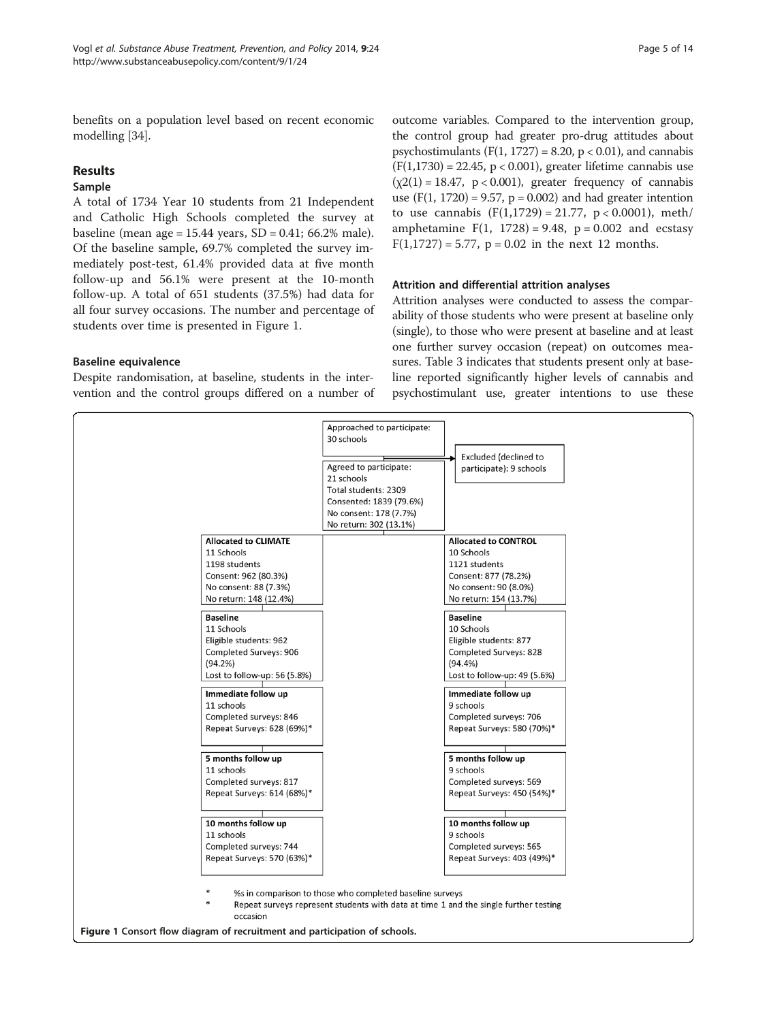benefits on a population level based on recent economic modelling [\[34\]](#page-13-0).

# Results

# Sample

A total of 1734 Year 10 students from 21 Independent and Catholic High Schools completed the survey at baseline (mean age =  $15.44$  years, SD =  $0.41$ ; 66.2% male). Of the baseline sample, 69.7% completed the survey immediately post-test, 61.4% provided data at five month follow-up and 56.1% were present at the 10-month follow-up. A total of 651 students (37.5%) had data for all four survey occasions. The number and percentage of students over time is presented in Figure 1.

Baseline equivalence

Despite randomisation, at baseline, students in the intervention and the control groups differed on a number of

outcome variables. Compared to the intervention group, the control group had greater pro-drug attitudes about psychostimulants (F(1, 1727) = 8.20,  $p < 0.01$ ), and cannabis  $(F(1,1730) = 22.45, p < 0.001)$ , greater lifetime cannabis use  $(\chi2(1) = 18.47, p < 0.001)$ , greater frequency of cannabis use  $(F(1, 1720) = 9.57, p = 0.002)$  and had greater intention to use cannabis  $(F(1,1729) = 21.77, p < 0.0001)$ , meth/ amphetamine F(1, 1728) = 9.48,  $p = 0.002$  and ecstasy  $F(1,1727) = 5.77$ ,  $p = 0.02$  in the next 12 months.

#### Attrition and differential attrition analyses

Attrition analyses were conducted to assess the comparability of those students who were present at baseline only (single), to those who were present at baseline and at least one further survey occasion (repeat) on outcomes measures. Table [3](#page-5-0) indicates that students present only at baseline reported significantly higher levels of cannabis and psychostimulant use, greater intentions to use these



Figure 1 Consort flow diagram of recruitment and participation of schools.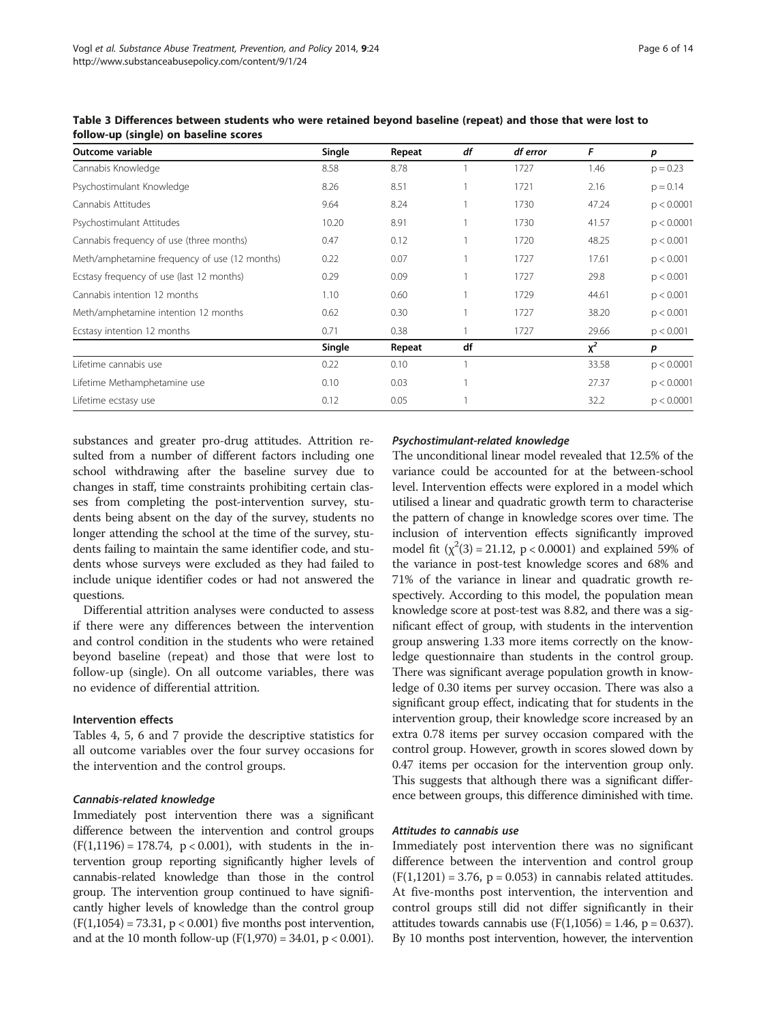| Outcome variable                              | Single | Repeat | df | df error | F     | р          |
|-----------------------------------------------|--------|--------|----|----------|-------|------------|
| Cannabis Knowledge                            | 8.58   | 8.78   |    | 1727     | 1.46  | $p = 0.23$ |
| Psychostimulant Knowledge                     | 8.26   | 8.51   |    | 1721     | 2.16  | $p = 0.14$ |
| Cannabis Attitudes                            | 9.64   | 8.24   |    | 1730     | 47.24 | p < 0.0001 |
| Psychostimulant Attitudes                     | 10.20  | 8.91   |    | 1730     | 41.57 | p < 0.0001 |
| Cannabis frequency of use (three months)      | 0.47   | 0.12   |    | 1720     | 48.25 | p < 0.001  |
| Meth/amphetamine frequency of use (12 months) | 0.22   | 0.07   |    | 1727     | 17.61 | p < 0.001  |
| Ecstasy frequency of use (last 12 months)     | 0.29   | 0.09   |    | 1727     | 29.8  | p < 0.001  |
| Cannabis intention 12 months                  | 1.10   | 0.60   |    | 1729     | 44.61 | p < 0.001  |
| Meth/amphetamine intention 12 months          | 0.62   | 0.30   |    | 1727     | 38.20 | p < 0.001  |
| Ecstasy intention 12 months                   | 0.71   | 0.38   |    | 1727     | 29.66 | p < 0.001  |
|                                               | Single | Repeat | df |          | $x^2$ | p          |
| Lifetime cannabis use                         | 0.22   | 0.10   |    |          | 33.58 | p < 0.0001 |
| Lifetime Methamphetamine use                  | 0.10   | 0.03   |    |          | 27.37 | p < 0.0001 |
| Lifetime ecstasy use                          | 0.12   | 0.05   |    |          | 32.2  | p < 0.0001 |

<span id="page-5-0"></span>Table 3 Differences between students who were retained beyond baseline (repeat) and those that were lost to follow-up (single) on baseline scores

substances and greater pro-drug attitudes. Attrition resulted from a number of different factors including one school withdrawing after the baseline survey due to changes in staff, time constraints prohibiting certain classes from completing the post-intervention survey, students being absent on the day of the survey, students no longer attending the school at the time of the survey, students failing to maintain the same identifier code, and students whose surveys were excluded as they had failed to include unique identifier codes or had not answered the questions.

Differential attrition analyses were conducted to assess if there were any differences between the intervention and control condition in the students who were retained beyond baseline (repeat) and those that were lost to follow-up (single). On all outcome variables, there was no evidence of differential attrition.

#### Intervention effects

Tables [4,](#page-6-0) [5,](#page-7-0) [6](#page-8-0) and [7](#page-9-0) provide the descriptive statistics for all outcome variables over the four survey occasions for the intervention and the control groups.

#### Cannabis-related knowledge

Immediately post intervention there was a significant difference between the intervention and control groups  $(F(1,1196) = 178.74, p < 0.001)$ , with students in the intervention group reporting significantly higher levels of cannabis-related knowledge than those in the control group. The intervention group continued to have significantly higher levels of knowledge than the control group  $(F(1,1054) = 73.31, p < 0.001)$  five months post intervention, and at the 10 month follow-up  $(F(1,970) = 34.01, p < 0.001)$ .

#### Psychostimulant-related knowledge

The unconditional linear model revealed that 12.5% of the variance could be accounted for at the between-school level. Intervention effects were explored in a model which utilised a linear and quadratic growth term to characterise the pattern of change in knowledge scores over time. The inclusion of intervention effects significantly improved model fit  $(\chi^2(3) = 21.12, p < 0.0001)$  and explained 59% of the variance in post-test knowledge scores and 68% and 71% of the variance in linear and quadratic growth respectively. According to this model, the population mean knowledge score at post-test was 8.82, and there was a significant effect of group, with students in the intervention group answering 1.33 more items correctly on the knowledge questionnaire than students in the control group. There was significant average population growth in knowledge of 0.30 items per survey occasion. There was also a significant group effect, indicating that for students in the intervention group, their knowledge score increased by an extra 0.78 items per survey occasion compared with the control group. However, growth in scores slowed down by 0.47 items per occasion for the intervention group only. This suggests that although there was a significant difference between groups, this difference diminished with time.

### Attitudes to cannabis use

Immediately post intervention there was no significant difference between the intervention and control group  $(F(1,1201) = 3.76, p = 0.053)$  in cannabis related attitudes. At five-months post intervention, the intervention and control groups still did not differ significantly in their attitudes towards cannabis use  $(F(1,1056) = 1.46, p = 0.637)$ . By 10 months post intervention, however, the intervention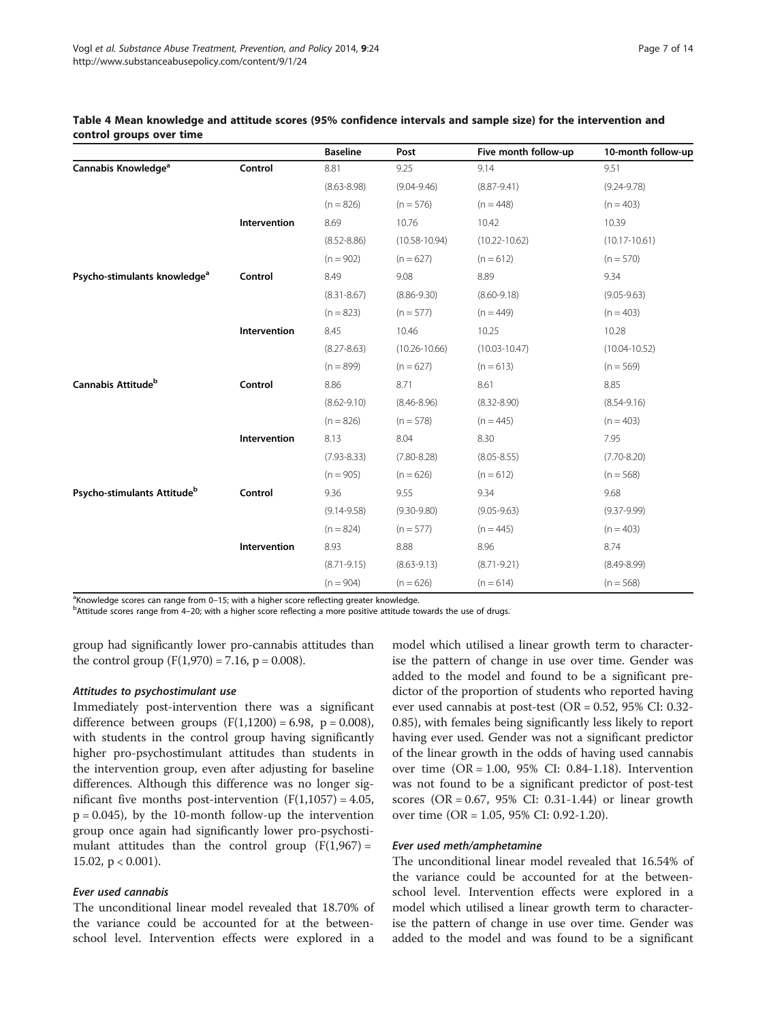|                                          |              | <b>Baseline</b> | Post              | Five month follow-up | 10-month follow-up |
|------------------------------------------|--------------|-----------------|-------------------|----------------------|--------------------|
| Cannabis Knowledge <sup>a</sup>          | Control      | 8.81            | 9.25              | 9.14                 | 9.51               |
|                                          |              | $(8.63 - 8.98)$ | $(9.04 - 9.46)$   | $(8.87 - 9.41)$      | $(9.24 - 9.78)$    |
|                                          |              | $(n = 826)$     | $(n = 576)$       | $(n = 448)$          | $(n = 403)$        |
|                                          | Intervention | 8.69            | 10.76             | 10.42                | 10.39              |
|                                          |              | $(8.52 - 8.86)$ | $(10.58 - 10.94)$ | $(10.22 - 10.62)$    | $(10.17 - 10.61)$  |
|                                          |              | $(n = 902)$     | $(n = 627)$       | $(n = 612)$          | $(n = 570)$        |
| Psycho-stimulants knowledge <sup>a</sup> | Control      | 8.49            | 9.08              | 8.89                 | 9.34               |
|                                          |              | $(8.31 - 8.67)$ | $(8.86 - 9.30)$   | $(8.60 - 9.18)$      | $(9.05 - 9.63)$    |
|                                          |              | $(n = 823)$     | $(n = 577)$       | $(n = 449)$          | $(n = 403)$        |
|                                          | Intervention | 8.45            | 10.46             | 10.25                | 10.28              |
|                                          |              | $(8.27 - 8.63)$ | $(10.26 - 10.66)$ | $(10.03 - 10.47)$    | $(10.04 - 10.52)$  |
|                                          |              | $(n = 899)$     | $(n = 627)$       | $(n = 613)$          | $(n = 569)$        |
| Cannabis Attitude <sup>b</sup>           | Control      | 8.86            | 8.71              | 8.61                 | 8.85               |
|                                          |              | $(8.62 - 9.10)$ | $(8.46 - 8.96)$   | $(8.32 - 8.90)$      | $(8.54 - 9.16)$    |
|                                          |              | $(n = 826)$     | $(n = 578)$       | $(n = 445)$          | $(n = 403)$        |
|                                          | Intervention | 8.13            | 8.04              | 8.30                 | 7.95               |
|                                          |              | $(7.93 - 8.33)$ | $(7.80 - 8.28)$   | $(8.05 - 8.55)$      | $(7.70 - 8.20)$    |
|                                          |              | $(n = 905)$     | $(n = 626)$       | $(n = 612)$          | $(n = 568)$        |
| Psycho-stimulants Attitude <sup>b</sup>  | Control      | 9.36            | 9.55              | 9.34                 | 9.68               |
|                                          |              | $(9.14 - 9.58)$ | $(9.30 - 9.80)$   | $(9.05 - 9.63)$      | $(9.37 - 9.99)$    |
|                                          |              | $(n = 824)$     | $(n = 577)$       | $(n = 445)$          | $(n = 403)$        |
|                                          | Intervention | 8.93            | 8.88              | 8.96                 | 8.74               |
|                                          |              | $(8.71 - 9.15)$ | $(8.63 - 9.13)$   | $(8.71 - 9.21)$      | $(8.49 - 8.99)$    |
|                                          |              | $(n = 904)$     | $(n = 626)$       | $(n = 614)$          | $(n = 568)$        |

#### <span id="page-6-0"></span>Table 4 Mean knowledge and attitude scores (95% confidence intervals and sample size) for the intervention and control groups over time

<sup>a</sup>Knowledge scores can range from 0–15; with a higher score reflecting greater knowledge.<br><sup>b</sup>Attitude scores space from 4, 20; with a bigher score reflecting a more positive attitude to

 $<sup>b</sup>$ Attitude scores range from 4–20; with a higher score reflecting a more positive attitude towards the use of drugs.</sup>

group had significantly lower pro-cannabis attitudes than the control group  $(F(1,970) = 7.16, p = 0.008)$ .

#### Attitudes to psychostimulant use

Immediately post-intervention there was a significant difference between groups  $(F(1,1200) = 6.98, p = 0.008)$ , with students in the control group having significantly higher pro-psychostimulant attitudes than students in the intervention group, even after adjusting for baseline differences. Although this difference was no longer significant five months post-intervention  $(F(1,1057) = 4.05$ ,  $p = 0.045$ , by the 10-month follow-up the intervention group once again had significantly lower pro-psychostimulant attitudes than the control group  $(F(1, 967)) =$ 15.02, p < 0.001).

#### Ever used cannabis

The unconditional linear model revealed that 18.70% of the variance could be accounted for at the betweenschool level. Intervention effects were explored in a

model which utilised a linear growth term to characterise the pattern of change in use over time. Gender was added to the model and found to be a significant predictor of the proportion of students who reported having ever used cannabis at post-test (OR = 0.52, 95% CI: 0.32- 0.85), with females being significantly less likely to report having ever used. Gender was not a significant predictor of the linear growth in the odds of having used cannabis over time (OR = 1.00, 95% CI: 0.84-1.18). Intervention was not found to be a significant predictor of post-test scores (OR = 0.67, 95% CI: 0.31-1.44) or linear growth over time (OR = 1.05, 95% CI: 0.92-1.20).

#### Ever used meth/amphetamine

The unconditional linear model revealed that 16.54% of the variance could be accounted for at the betweenschool level. Intervention effects were explored in a model which utilised a linear growth term to characterise the pattern of change in use over time. Gender was added to the model and was found to be a significant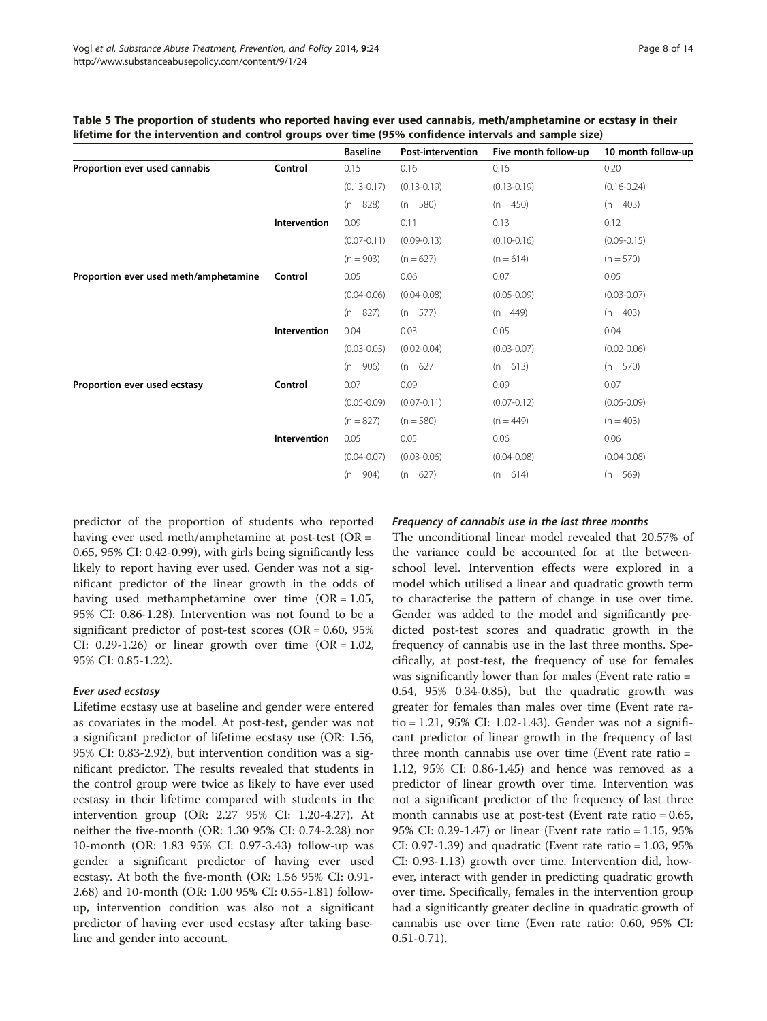|                                       |              | <b>Baseline</b> | <b>Post-intervention</b> | Five month follow-up | 10 month follow-up |
|---------------------------------------|--------------|-----------------|--------------------------|----------------------|--------------------|
| Proportion ever used cannabis         | Control      | 0.15            | 0.16                     | 0.16                 | 0.20               |
|                                       |              | $(0.13 - 0.17)$ | $(0.13 - 0.19)$          | $(0.13 - 0.19)$      | $(0.16 - 0.24)$    |
|                                       |              | $(n = 828)$     | $(n = 580)$              | $(n = 450)$          | $(n = 403)$        |
|                                       | Intervention | 0.09            | 0.11                     | 0.13                 | 0.12               |
|                                       |              | $(0.07 - 0.11)$ | $(0.09 - 0.13)$          | $(0.10 - 0.16)$      | $(0.09 - 0.15)$    |
|                                       |              | $(n = 903)$     | $(n = 627)$              | $(n = 614)$          | $(n = 570)$        |
| Proportion ever used meth/amphetamine | Control      | 0.05            | 0.06                     | 0.07                 | 0.05               |
|                                       |              | $(0.04 - 0.06)$ | $(0.04 - 0.08)$          | $(0.05 - 0.09)$      | $(0.03 - 0.07)$    |
|                                       |              | $(n = 827)$     | $(n = 577)$              | $(n = 449)$          | $(n = 403)$        |
|                                       | Intervention | 0.04            | 0.03                     | 0.05                 | 0.04               |
|                                       |              | $(0.03 - 0.05)$ | $(0.02 - 0.04)$          | $(0.03 - 0.07)$      | $(0.02 - 0.06)$    |
|                                       |              | $(n = 906)$     | $(n = 627)$              | $(n = 613)$          | $(n = 570)$        |
| Proportion ever used ecstasy          | Control      | 0.07            | 0.09                     | 0.09                 | 0.07               |
|                                       |              | $(0.05 - 0.09)$ | $(0.07 - 0.11)$          | $(0.07 - 0.12)$      | $(0.05 - 0.09)$    |
|                                       |              | $(n = 827)$     | $(n = 580)$              | $(n = 449)$          | $(n = 403)$        |
|                                       | Intervention | 0.05            | 0.05                     | 0.06                 | 0.06               |
|                                       |              | $(0.04 - 0.07)$ | $(0.03 - 0.06)$          | $(0.04 - 0.08)$      | $(0.04 - 0.08)$    |
|                                       |              | $(n = 904)$     | $(n = 627)$              | $(n = 614)$          | $(n = 569)$        |

<span id="page-7-0"></span>Table 5 The proportion of students who reported having ever used cannabis, meth/amphetamine or ecstasy in their lifetime for the intervention and control groups over time (95% confidence intervals and sample size)

predictor of the proportion of students who reported having ever used meth/amphetamine at post-test (OR = 0.65, 95% CI: 0.42-0.99), with girls being significantly less likely to report having ever used. Gender was not a significant predictor of the linear growth in the odds of having used methamphetamine over time (OR = 1.05, 95% CI: 0.86-1.28). Intervention was not found to be a significant predictor of post-test scores (OR = 0.60, 95% CI: 0.29-1.26) or linear growth over time  $(OR = 1.02,$ 95% CI: 0.85-1.22).

#### Ever used ecstasy

Lifetime ecstasy use at baseline and gender were entered as covariates in the model. At post-test, gender was not a significant predictor of lifetime ecstasy use (OR: 1.56, 95% CI: 0.83-2.92), but intervention condition was a significant predictor. The results revealed that students in the control group were twice as likely to have ever used ecstasy in their lifetime compared with students in the intervention group (OR: 2.27 95% CI: 1.20-4.27). At neither the five-month (OR: 1.30 95% CI: 0.74-2.28) nor 10-month (OR: 1.83 95% CI: 0.97-3.43) follow-up was gender a significant predictor of having ever used ecstasy. At both the five-month (OR: 1.56 95% CI: 0.91- 2.68) and 10-month (OR: 1.00 95% CI: 0.55-1.81) followup, intervention condition was also not a significant predictor of having ever used ecstasy after taking baseline and gender into account.

#### Frequency of cannabis use in the last three months

The unconditional linear model revealed that 20.57% of the variance could be accounted for at the betweenschool level. Intervention effects were explored in a model which utilised a linear and quadratic growth term to characterise the pattern of change in use over time. Gender was added to the model and significantly predicted post-test scores and quadratic growth in the frequency of cannabis use in the last three months. Specifically, at post-test, the frequency of use for females was significantly lower than for males (Event rate ratio = 0.54, 95% 0.34-0.85), but the quadratic growth was greater for females than males over time (Event rate ratio = 1.21, 95% CI: 1.02-1.43). Gender was not a significant predictor of linear growth in the frequency of last three month cannabis use over time (Event rate ratio = 1.12, 95% CI: 0.86-1.45) and hence was removed as a predictor of linear growth over time. Intervention was not a significant predictor of the frequency of last three month cannabis use at post-test (Event rate ratio = 0.65, 95% CI: 0.29-1.47) or linear (Event rate ratio = 1.15, 95% CI:  $0.97-1.39$ ) and quadratic (Event rate ratio = 1.03, 95% CI: 0.93-1.13) growth over time. Intervention did, however, interact with gender in predicting quadratic growth over time. Specifically, females in the intervention group had a significantly greater decline in quadratic growth of cannabis use over time (Even rate ratio: 0.60, 95% CI: 0.51-0.71).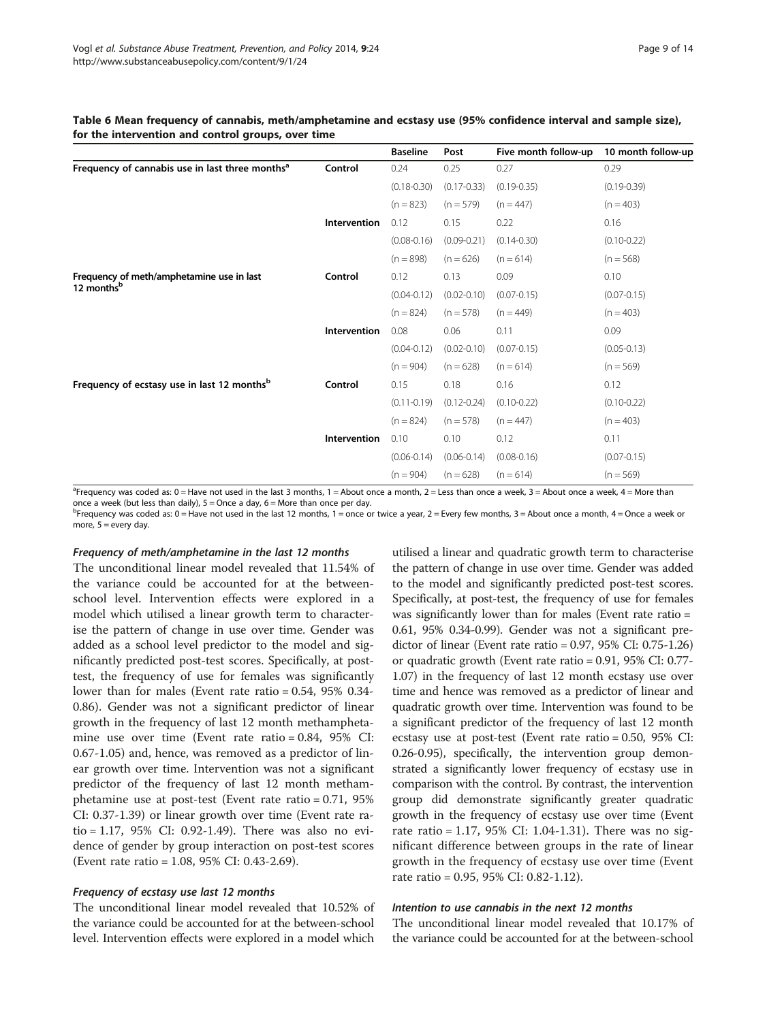|                                                             |              | <b>Baseline</b> | Post            | Five month follow-up | 10 month follow-up |
|-------------------------------------------------------------|--------------|-----------------|-----------------|----------------------|--------------------|
| Frequency of cannabis use in last three months <sup>a</sup> | Control      | 0.24            | 0.25            | 0.27                 | 0.29               |
|                                                             |              | $(0.18 - 0.30)$ | $(0.17 - 0.33)$ | $(0.19 - 0.35)$      | $(0.19 - 0.39)$    |
|                                                             |              | $(n = 823)$     | $(n = 579)$     | $(n = 447)$          | $(n = 403)$        |
|                                                             | Intervention | 0.12            | 0.15            | 0.22                 | 0.16               |
|                                                             |              | $(0.08 - 0.16)$ | $(0.09 - 0.21)$ | $(0.14 - 0.30)$      | $(0.10 - 0.22)$    |
|                                                             |              | $(n = 898)$     | $(n = 626)$     | $(n = 614)$          | $(n = 568)$        |
| Frequency of meth/amphetamine use in last                   | Control      | 0.12            | 0.13            | 0.09                 | 0.10               |
| 12 months <sup>b</sup>                                      |              | $(0.04 - 0.12)$ | $(0.02 - 0.10)$ | $(0.07 - 0.15)$      | $(0.07 - 0.15)$    |
|                                                             |              | $(n = 824)$     | $(n = 578)$     | $(n = 449)$          | $(n = 403)$        |
|                                                             | Intervention | 0.08            | 0.06            | 0.11                 | 0.09               |
|                                                             |              | $(0.04 - 0.12)$ | $(0.02 - 0.10)$ | $(0.07 - 0.15)$      | $(0.05 - 0.13)$    |
|                                                             |              | $(n = 904)$     | $(n = 628)$     | $(n = 614)$          | $(n = 569)$        |
| Frequency of ecstasy use in last 12 months <sup>b</sup>     | Control      | 0.15            | 0.18            | 0.16                 | 0.12               |
|                                                             |              | $(0.11 - 0.19)$ | $(0.12 - 0.24)$ | $(0.10 - 0.22)$      | $(0.10 - 0.22)$    |
|                                                             |              | $(n = 824)$     | $(n = 578)$     | $(n = 447)$          | $(n = 403)$        |
|                                                             | Intervention | 0.10            | 0.10            | 0.12                 | 0.11               |
|                                                             |              | $(0.06 - 0.14)$ | $(0.06 - 0.14)$ | $(0.08 - 0.16)$      | $(0.07 - 0.15)$    |
|                                                             |              | $(n = 904)$     | $(n = 628)$     | $(n = 614)$          | $(n = 569)$        |

#### <span id="page-8-0"></span>Table 6 Mean frequency of cannabis, meth/amphetamine and ecstasy use (95% confidence interval and sample size), for the intervention and control groups, over time

<sup>a</sup> Frequency was coded as: 0 = Have not used in the last 3 months, 1 = About once a month, 2 = Less than once a week, 3 = About once a week, 4 = More than once a week (but less than daily), 5 = Once a day, 6 = More than once per day.

<sup>b</sup>Frequency was coded as: 0 = Have not used in the last 12 months, 1 = once or twice a year, 2 = Every few months, 3 = About once a month, 4 = Once a week or more,  $5 =$  every day.

#### Frequency of meth/amphetamine in the last 12 months

The unconditional linear model revealed that 11.54% of the variance could be accounted for at the betweenschool level. Intervention effects were explored in a model which utilised a linear growth term to characterise the pattern of change in use over time. Gender was added as a school level predictor to the model and significantly predicted post-test scores. Specifically, at posttest, the frequency of use for females was significantly lower than for males (Event rate ratio = 0.54, 95% 0.34- 0.86). Gender was not a significant predictor of linear growth in the frequency of last 12 month methamphetamine use over time (Event rate ratio = 0.84, 95% CI: 0.67-1.05) and, hence, was removed as a predictor of linear growth over time. Intervention was not a significant predictor of the frequency of last 12 month methamphetamine use at post-test (Event rate ratio = 0.71, 95% CI: 0.37-1.39) or linear growth over time (Event rate ratio = 1.17, 95% CI: 0.92-1.49). There was also no evidence of gender by group interaction on post-test scores (Event rate ratio = 1.08, 95% CI: 0.43-2.69).

#### Frequency of ecstasy use last 12 months

The unconditional linear model revealed that 10.52% of the variance could be accounted for at the between-school level. Intervention effects were explored in a model which

utilised a linear and quadratic growth term to characterise the pattern of change in use over time. Gender was added to the model and significantly predicted post-test scores. Specifically, at post-test, the frequency of use for females was significantly lower than for males (Event rate ratio = 0.61, 95% 0.34-0.99). Gender was not a significant predictor of linear (Event rate ratio = 0.97, 95% CI: 0.75-1.26) or quadratic growth (Event rate ratio = 0.91, 95% CI: 0.77- 1.07) in the frequency of last 12 month ecstasy use over time and hence was removed as a predictor of linear and quadratic growth over time. Intervention was found to be a significant predictor of the frequency of last 12 month ecstasy use at post-test (Event rate ratio = 0.50, 95% CI: 0.26-0.95), specifically, the intervention group demonstrated a significantly lower frequency of ecstasy use in comparison with the control. By contrast, the intervention group did demonstrate significantly greater quadratic growth in the frequency of ecstasy use over time (Event rate ratio = 1.17, 95% CI: 1.04-1.31). There was no significant difference between groups in the rate of linear growth in the frequency of ecstasy use over time (Event rate ratio = 0.95, 95% CI: 0.82-1.12).

#### Intention to use cannabis in the next 12 months

The unconditional linear model revealed that 10.17% of the variance could be accounted for at the between-school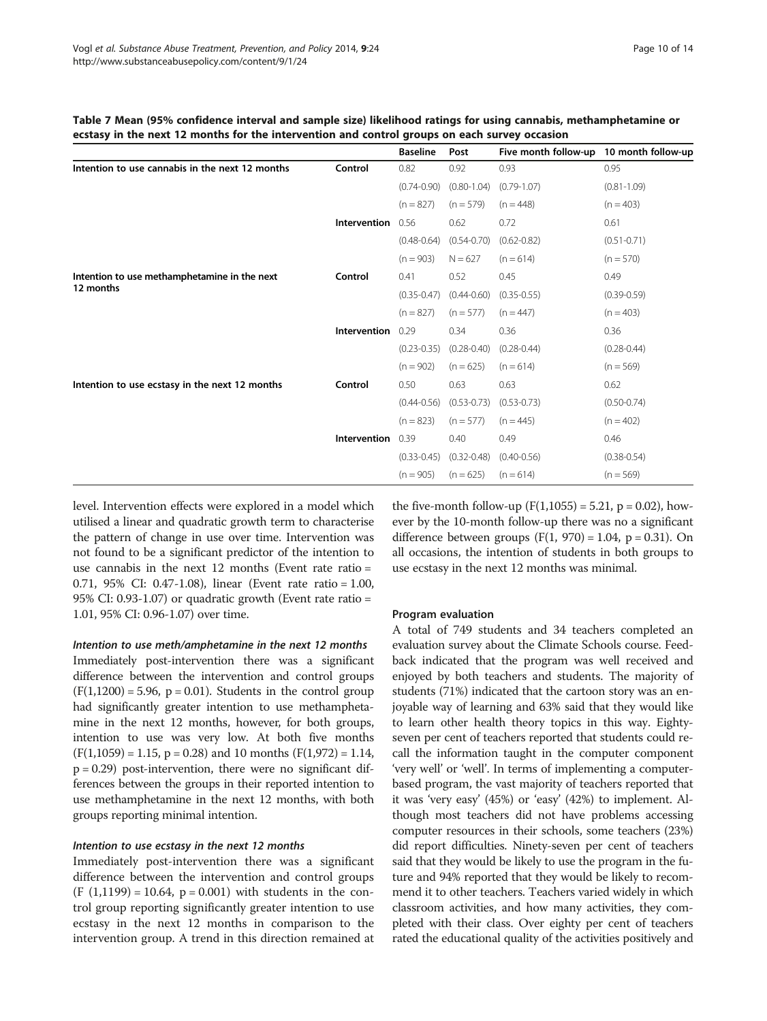<span id="page-9-0"></span>

|  |                                                                                               |  |  |  | Table 7 Mean (95% confidence interval and sample size) likelihood ratings for using cannabis, methamphetamine or |  |
|--|-----------------------------------------------------------------------------------------------|--|--|--|------------------------------------------------------------------------------------------------------------------|--|
|  | ecstasy in the next 12 months for the intervention and control groups on each survey occasion |  |  |  |                                                                                                                  |  |

|                                                 |              | <b>Baseline</b> | Post            | Five month follow-up 10 month follow-up |                 |
|-------------------------------------------------|--------------|-----------------|-----------------|-----------------------------------------|-----------------|
| Intention to use cannabis in the next 12 months | Control      | 0.82            | 0.92            | 0.93                                    | 0.95            |
|                                                 |              | $(0.74 - 0.90)$ | $(0.80 - 1.04)$ | $(0.79 - 1.07)$                         | $(0.81 - 1.09)$ |
|                                                 |              | $(n = 827)$     | $(n = 579)$     | $(n = 448)$                             | $(n = 403)$     |
|                                                 | Intervention | 0.56            | 0.62            | 0.72                                    | 0.61            |
|                                                 |              | $(0.48 - 0.64)$ | $(0.54 - 0.70)$ | $(0.62 - 0.82)$                         | $(0.51 - 0.71)$ |
|                                                 |              | $(n = 903)$     | $N = 627$       | $(n = 614)$                             | $(n = 570)$     |
| Intention to use methamphetamine in the next    | Control      | 0.41            | 0.52            | 0.45                                    | 0.49            |
| 12 months                                       |              | $(0.35 - 0.47)$ | $(0.44 - 0.60)$ | $(0.35 - 0.55)$                         | $(0.39 - 0.59)$ |
|                                                 |              | $(n = 827)$     | $(n = 577)$     | $(n = 447)$                             | $(n = 403)$     |
|                                                 | Intervention | 0.29            | 0.34            | 0.36                                    | 0.36            |
|                                                 |              | $(0.23 - 0.35)$ | $(0.28 - 0.40)$ | $(0.28 - 0.44)$                         | $(0.28 - 0.44)$ |
|                                                 |              | $(n = 902)$     | $(n = 625)$     | $(n = 614)$                             | $(n = 569)$     |
| Intention to use ecstasy in the next 12 months  | Control      | 0.50            | 0.63            | 0.63                                    | 0.62            |
|                                                 |              | $(0.44 - 0.56)$ | $(0.53 - 0.73)$ | $(0.53 - 0.73)$                         | $(0.50 - 0.74)$ |
|                                                 |              | $(n = 823)$     | $(n = 577)$     | $(n = 445)$                             | $(n = 402)$     |
|                                                 | Intervention | 0.39            | 0.40            | 0.49                                    | 0.46            |
|                                                 |              | $(0.33 - 0.45)$ | $(0.32 - 0.48)$ | $(0.40 - 0.56)$                         | $(0.38 - 0.54)$ |
|                                                 |              | $(n = 905)$     | $(n = 625)$     | $(n = 614)$                             | $(n = 569)$     |

level. Intervention effects were explored in a model which utilised a linear and quadratic growth term to characterise the pattern of change in use over time. Intervention was not found to be a significant predictor of the intention to use cannabis in the next 12 months (Event rate ratio = 0.71, 95% CI: 0.47-1.08), linear (Event rate ratio = 1.00, 95% CI: 0.93-1.07) or quadratic growth (Event rate ratio = 1.01, 95% CI: 0.96-1.07) over time.

Intention to use meth/amphetamine in the next 12 months

Immediately post-intervention there was a significant difference between the intervention and control groups  $(F(1,1200) = 5.96, p = 0.01)$ . Students in the control group had significantly greater intention to use methamphetamine in the next 12 months, however, for both groups, intention to use was very low. At both five months  $(F(1,1059) = 1.15, p = 0.28)$  and 10 months  $(F(1,972) = 1.14,$  $p = 0.29$ ) post-intervention, there were no significant differences between the groups in their reported intention to use methamphetamine in the next 12 months, with both groups reporting minimal intention.

#### Intention to use ecstasy in the next 12 months

Immediately post-intervention there was a significant difference between the intervention and control groups  $(F (1,1199) = 10.64, p = 0.001)$  with students in the control group reporting significantly greater intention to use ecstasy in the next 12 months in comparison to the intervention group. A trend in this direction remained at the five-month follow-up  $(F(1,1055) = 5.21, p = 0.02)$ , however by the 10-month follow-up there was no a significant difference between groups  $(F(1, 970) = 1.04, p = 0.31)$ . On all occasions, the intention of students in both groups to use ecstasy in the next 12 months was minimal.

#### Program evaluation

A total of 749 students and 34 teachers completed an evaluation survey about the Climate Schools course. Feedback indicated that the program was well received and enjoyed by both teachers and students. The majority of students (71%) indicated that the cartoon story was an enjoyable way of learning and 63% said that they would like to learn other health theory topics in this way. Eightyseven per cent of teachers reported that students could recall the information taught in the computer component 'very well' or 'well'. In terms of implementing a computerbased program, the vast majority of teachers reported that it was 'very easy' (45%) or 'easy' (42%) to implement. Although most teachers did not have problems accessing computer resources in their schools, some teachers (23%) did report difficulties. Ninety-seven per cent of teachers said that they would be likely to use the program in the future and 94% reported that they would be likely to recommend it to other teachers. Teachers varied widely in which classroom activities, and how many activities, they completed with their class. Over eighty per cent of teachers rated the educational quality of the activities positively and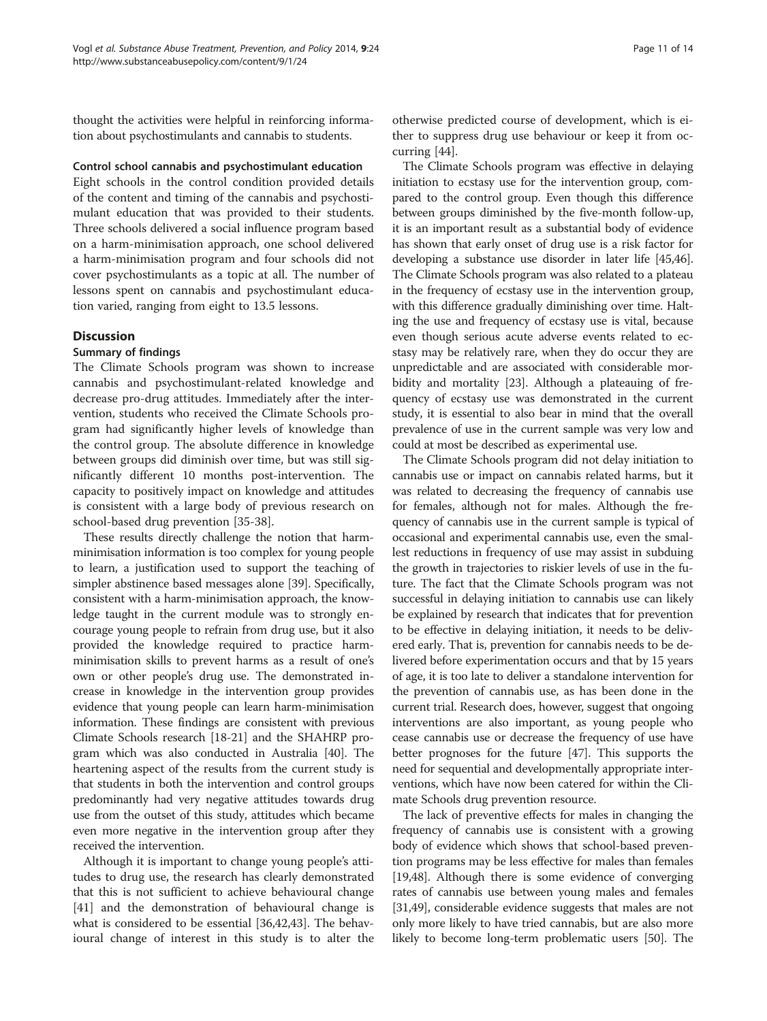thought the activities were helpful in reinforcing information about psychostimulants and cannabis to students.

#### Control school cannabis and psychostimulant education

Eight schools in the control condition provided details of the content and timing of the cannabis and psychostimulant education that was provided to their students. Three schools delivered a social influence program based on a harm-minimisation approach, one school delivered a harm-minimisation program and four schools did not cover psychostimulants as a topic at all. The number of lessons spent on cannabis and psychostimulant education varied, ranging from eight to 13.5 lessons.

#### **Discussion**

#### Summary of findings

The Climate Schools program was shown to increase cannabis and psychostimulant-related knowledge and decrease pro-drug attitudes. Immediately after the intervention, students who received the Climate Schools program had significantly higher levels of knowledge than the control group. The absolute difference in knowledge between groups did diminish over time, but was still significantly different 10 months post-intervention. The capacity to positively impact on knowledge and attitudes is consistent with a large body of previous research on school-based drug prevention [\[35](#page-13-0)-[38\]](#page-13-0).

These results directly challenge the notion that harmminimisation information is too complex for young people to learn, a justification used to support the teaching of simpler abstinence based messages alone [[39](#page-13-0)]. Specifically, consistent with a harm-minimisation approach, the knowledge taught in the current module was to strongly encourage young people to refrain from drug use, but it also provided the knowledge required to practice harmminimisation skills to prevent harms as a result of one's own or other people's drug use. The demonstrated increase in knowledge in the intervention group provides evidence that young people can learn harm-minimisation information. These findings are consistent with previous Climate Schools research [\[18](#page-12-0)-[21](#page-12-0)] and the SHAHRP program which was also conducted in Australia [[40](#page-13-0)]. The heartening aspect of the results from the current study is that students in both the intervention and control groups predominantly had very negative attitudes towards drug use from the outset of this study, attitudes which became even more negative in the intervention group after they received the intervention.

Although it is important to change young people's attitudes to drug use, the research has clearly demonstrated that this is not sufficient to achieve behavioural change [[41\]](#page-13-0) and the demonstration of behavioural change is what is considered to be essential [[36,42](#page-13-0),[43](#page-13-0)]. The behavioural change of interest in this study is to alter the otherwise predicted course of development, which is either to suppress drug use behaviour or keep it from occurring [[44](#page-13-0)].

The Climate Schools program was effective in delaying initiation to ecstasy use for the intervention group, compared to the control group. Even though this difference between groups diminished by the five-month follow-up, it is an important result as a substantial body of evidence has shown that early onset of drug use is a risk factor for developing a substance use disorder in later life [\[45,46](#page-13-0)]. The Climate Schools program was also related to a plateau in the frequency of ecstasy use in the intervention group, with this difference gradually diminishing over time. Halting the use and frequency of ecstasy use is vital, because even though serious acute adverse events related to ecstasy may be relatively rare, when they do occur they are unpredictable and are associated with considerable morbidity and mortality [\[23\]](#page-12-0). Although a plateauing of frequency of ecstasy use was demonstrated in the current study, it is essential to also bear in mind that the overall prevalence of use in the current sample was very low and could at most be described as experimental use.

The Climate Schools program did not delay initiation to cannabis use or impact on cannabis related harms, but it was related to decreasing the frequency of cannabis use for females, although not for males. Although the frequency of cannabis use in the current sample is typical of occasional and experimental cannabis use, even the smallest reductions in frequency of use may assist in subduing the growth in trajectories to riskier levels of use in the future. The fact that the Climate Schools program was not successful in delaying initiation to cannabis use can likely be explained by research that indicates that for prevention to be effective in delaying initiation, it needs to be delivered early. That is, prevention for cannabis needs to be delivered before experimentation occurs and that by 15 years of age, it is too late to deliver a standalone intervention for the prevention of cannabis use, as has been done in the current trial. Research does, however, suggest that ongoing interventions are also important, as young people who cease cannabis use or decrease the frequency of use have better prognoses for the future [\[47\]](#page-13-0). This supports the need for sequential and developmentally appropriate interventions, which have now been catered for within the Climate Schools drug prevention resource.

The lack of preventive effects for males in changing the frequency of cannabis use is consistent with a growing body of evidence which shows that school-based prevention programs may be less effective for males than females [[19](#page-12-0)[,48](#page-13-0)]. Although there is some evidence of converging rates of cannabis use between young males and females [[31,49](#page-13-0)], considerable evidence suggests that males are not only more likely to have tried cannabis, but are also more likely to become long-term problematic users [\[50\]](#page-13-0). The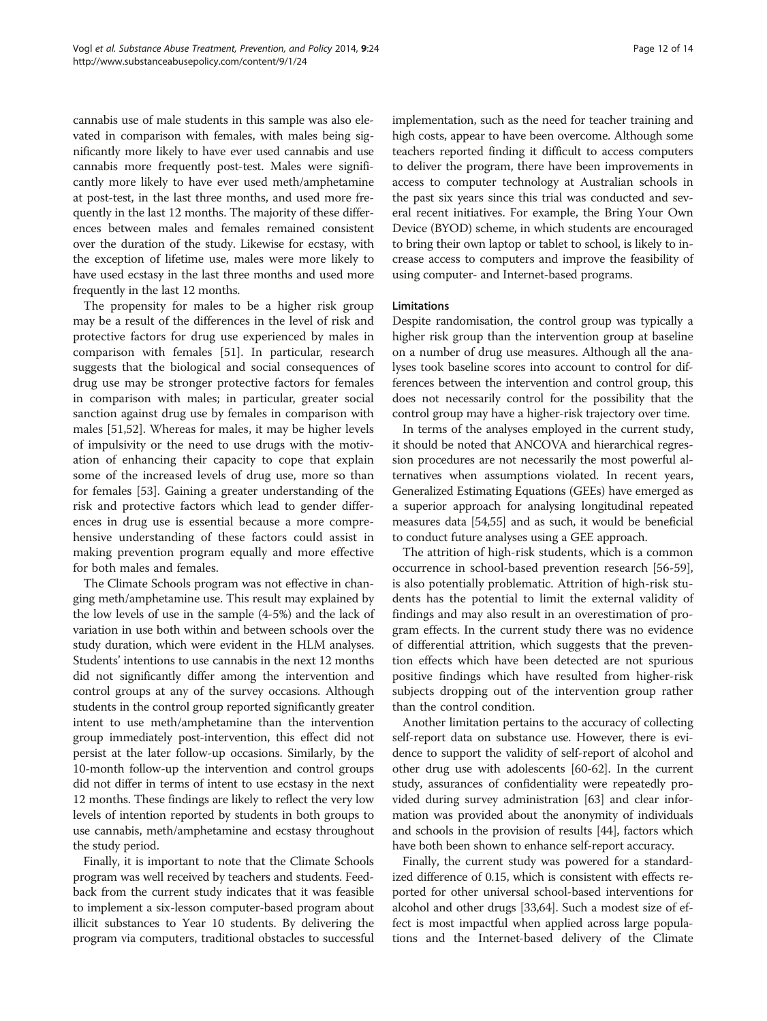cannabis use of male students in this sample was also elevated in comparison with females, with males being significantly more likely to have ever used cannabis and use cannabis more frequently post-test. Males were significantly more likely to have ever used meth/amphetamine at post-test, in the last three months, and used more frequently in the last 12 months. The majority of these differences between males and females remained consistent over the duration of the study. Likewise for ecstasy, with the exception of lifetime use, males were more likely to have used ecstasy in the last three months and used more frequently in the last 12 months.

The propensity for males to be a higher risk group may be a result of the differences in the level of risk and protective factors for drug use experienced by males in comparison with females [\[51\]](#page-13-0). In particular, research suggests that the biological and social consequences of drug use may be stronger protective factors for females in comparison with males; in particular, greater social sanction against drug use by females in comparison with males [\[51,52\]](#page-13-0). Whereas for males, it may be higher levels of impulsivity or the need to use drugs with the motivation of enhancing their capacity to cope that explain some of the increased levels of drug use, more so than for females [\[53](#page-13-0)]. Gaining a greater understanding of the risk and protective factors which lead to gender differences in drug use is essential because a more comprehensive understanding of these factors could assist in making prevention program equally and more effective for both males and females.

The Climate Schools program was not effective in changing meth/amphetamine use. This result may explained by the low levels of use in the sample (4-5%) and the lack of variation in use both within and between schools over the study duration, which were evident in the HLM analyses. Students' intentions to use cannabis in the next 12 months did not significantly differ among the intervention and control groups at any of the survey occasions. Although students in the control group reported significantly greater intent to use meth/amphetamine than the intervention group immediately post-intervention, this effect did not persist at the later follow-up occasions. Similarly, by the 10-month follow-up the intervention and control groups did not differ in terms of intent to use ecstasy in the next 12 months. These findings are likely to reflect the very low levels of intention reported by students in both groups to use cannabis, meth/amphetamine and ecstasy throughout the study period.

Finally, it is important to note that the Climate Schools program was well received by teachers and students. Feedback from the current study indicates that it was feasible to implement a six-lesson computer-based program about illicit substances to Year 10 students. By delivering the program via computers, traditional obstacles to successful

implementation, such as the need for teacher training and high costs, appear to have been overcome. Although some teachers reported finding it difficult to access computers to deliver the program, there have been improvements in access to computer technology at Australian schools in the past six years since this trial was conducted and several recent initiatives. For example, the Bring Your Own Device (BYOD) scheme, in which students are encouraged to bring their own laptop or tablet to school, is likely to increase access to computers and improve the feasibility of using computer- and Internet-based programs.

#### Limitations

Despite randomisation, the control group was typically a higher risk group than the intervention group at baseline on a number of drug use measures. Although all the analyses took baseline scores into account to control for differences between the intervention and control group, this does not necessarily control for the possibility that the control group may have a higher-risk trajectory over time.

In terms of the analyses employed in the current study, it should be noted that ANCOVA and hierarchical regression procedures are not necessarily the most powerful alternatives when assumptions violated. In recent years, Generalized Estimating Equations (GEEs) have emerged as a superior approach for analysing longitudinal repeated measures data [[54,55](#page-13-0)] and as such, it would be beneficial to conduct future analyses using a GEE approach.

The attrition of high-risk students, which is a common occurrence in school-based prevention research [\[56-59](#page-13-0)], is also potentially problematic. Attrition of high-risk students has the potential to limit the external validity of findings and may also result in an overestimation of program effects. In the current study there was no evidence of differential attrition, which suggests that the prevention effects which have been detected are not spurious positive findings which have resulted from higher-risk subjects dropping out of the intervention group rather than the control condition.

Another limitation pertains to the accuracy of collecting self-report data on substance use. However, there is evidence to support the validity of self-report of alcohol and other drug use with adolescents [[60](#page-13-0)-[62](#page-13-0)]. In the current study, assurances of confidentiality were repeatedly provided during survey administration [[63](#page-13-0)] and clear information was provided about the anonymity of individuals and schools in the provision of results [\[44](#page-13-0)], factors which have both been shown to enhance self-report accuracy.

Finally, the current study was powered for a standardized difference of 0.15, which is consistent with effects reported for other universal school-based interventions for alcohol and other drugs [\[33,64](#page-13-0)]. Such a modest size of effect is most impactful when applied across large populations and the Internet-based delivery of the Climate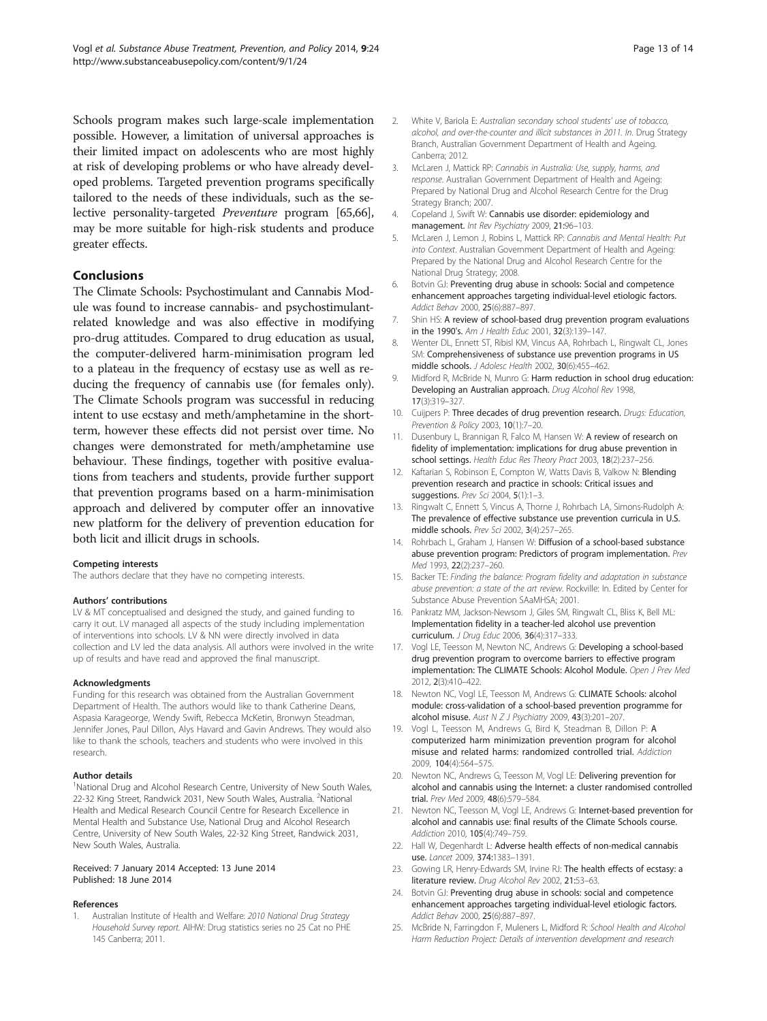<span id="page-12-0"></span>Schools program makes such large-scale implementation possible. However, a limitation of universal approaches is their limited impact on adolescents who are most highly at risk of developing problems or who have already developed problems. Targeted prevention programs specifically tailored to the needs of these individuals, such as the selective personality-targeted Preventure program [\[65,66](#page-13-0)], may be more suitable for high-risk students and produce greater effects.

#### Conclusions

The Climate Schools: Psychostimulant and Cannabis Module was found to increase cannabis- and psychostimulantrelated knowledge and was also effective in modifying pro-drug attitudes. Compared to drug education as usual, the computer-delivered harm-minimisation program led to a plateau in the frequency of ecstasy use as well as reducing the frequency of cannabis use (for females only). The Climate Schools program was successful in reducing intent to use ecstasy and meth/amphetamine in the shortterm, however these effects did not persist over time. No changes were demonstrated for meth/amphetamine use behaviour. These findings, together with positive evaluations from teachers and students, provide further support that prevention programs based on a harm-minimisation approach and delivered by computer offer an innovative new platform for the delivery of prevention education for both licit and illicit drugs in schools.

#### Competing interests

The authors declare that they have no competing interests.

#### Authors' contributions

LV & MT conceptualised and designed the study, and gained funding to carry it out. LV managed all aspects of the study including implementation of interventions into schools. LV & NN were directly involved in data collection and LV led the data analysis. All authors were involved in the write up of results and have read and approved the final manuscript.

#### Acknowledgments

Funding for this research was obtained from the Australian Government Department of Health. The authors would like to thank Catherine Deans, Aspasia Karageorge, Wendy Swift, Rebecca McKetin, Bronwyn Steadman, Jennifer Jones, Paul Dillon, Alys Havard and Gavin Andrews. They would also like to thank the schools, teachers and students who were involved in this research.

#### Author details

<sup>1</sup>National Drug and Alcohol Research Centre, University of New South Wales, 22-32 King Street, Randwick 2031, New South Wales, Australia. <sup>2</sup>National Health and Medical Research Council Centre for Research Excellence in Mental Health and Substance Use, National Drug and Alcohol Research Centre, University of New South Wales, 22-32 King Street, Randwick 2031, New South Wales, Australia.

#### Received: 7 January 2014 Accepted: 13 June 2014 Published: 18 June 2014

#### References

1. Australian Institute of Health and Welfare: 2010 National Drug Strategy Household Survey report. AIHW: Drug statistics series no 25 Cat no PHE 145 Canberra; 2011.

- 2. White V, Bariola E: Australian secondary school students' use of tobacco, alcohol, and over-the-counter and illicit substances in 2011. In. Drug Strategy Branch, Australian Government Department of Health and Ageing. Canberra; 2012.
- 3. McLaren J, Mattick RP: Cannabis in Australia: Use, supply, harms, and response. Australian Government Department of Health and Ageing: Prepared by National Drug and Alcohol Research Centre for the Drug Strategy Branch; 2007.
- 4. Copeland J, Swift W: Cannabis use disorder: epidemiology and management. Int Rev Psychiatry 2009, 21:96–103.
- 5. McLaren J, Lemon J, Robins L, Mattick RP: Cannabis and Mental Health: Put into Context. Australian Government Department of Health and Ageing: Prepared by the National Drug and Alcohol Research Centre for the National Drug Strategy; 2008.
- 6. Botvin GJ: Preventing drug abuse in schools: Social and competence enhancement approaches targeting individual-level etiologic factors. Addict Behav 2000, 25(6):887–897.
- 7. Shin HS: A review of school-based drug prevention program evaluations in the 1990's, Am J Health Educ 2001, 32(3):139-147.
- 8. Wenter DL, Ennett ST, Ribisl KM, Vincus AA, Rohrbach L, Ringwalt CL, Jones SM: Comprehensiveness of substance use prevention programs in US middle schools. J Adolesc Health 2002, 30(6):455–462.
- 9. Midford R, McBride N, Munro G: Harm reduction in school drug education: Developing an Australian approach. Drug Alcohol Rev 1998, 17(3):319–327.
- 10. Cuijpers P: Three decades of drug prevention research. Drugs: Education, Prevention & Policy 2003, 10(1):7–20.
- 11. Dusenbury L, Brannigan R, Falco M, Hansen W: A review of research on fidelity of implementation: implications for drug abuse prevention in school settings. Health Educ Res Theory Pract 2003, 18(2):237–256.
- 12. Kaftarian S, Robinson E, Compton W, Watts Davis B, Valkow N: Blending prevention research and practice in schools: Critical issues and suggestions. Prev Sci 2004, 5(1):1-3.
- 13. Ringwalt C, Ennett S, Vincus A, Thorne J, Rohrbach LA, Simons-Rudolph A: The prevalence of effective substance use prevention curricula in U.S. middle schools. Prev Sci 2002, 3(4):257–265.
- 14. Rohrbach L, Graham J, Hansen W: Diffusion of a school-based substance abuse prevention program: Predictors of program implementation. Prev Med 1993, 22(2):237–260.
- 15. Backer TE: Finding the balance: Program fidelity and adaptation in substance abuse prevention: a state of the art review. Rockville: In. Edited by Center for Substance Abuse Prevention SAaMHSA; 2001.
- 16. Pankratz MM, Jackson-Newsom J, Giles SM, Ringwalt CL, Bliss K, Bell ML: Implementation fidelity in a teacher-led alcohol use prevention curriculum. J Drug Educ 2006, 36(4):317–333.
- 17. Vogl LE, Teesson M, Newton NC, Andrews G: Developing a school-based drug prevention program to overcome barriers to effective program implementation: The CLIMATE Schools: Alcohol Module. Open J Prev Med 2012, 2(3):410–422.
- 18. Newton NC, Vogl LE, Teesson M, Andrews G: CLIMATE Schools: alcohol module: cross-validation of a school-based prevention programme for alcohol misuse. Aust N Z J Psychiatry 2009, 43(3):201-207.
- 19. Vogl L, Teesson M, Andrews G, Bird K, Steadman B, Dillon P: A computerized harm minimization prevention program for alcohol misuse and related harms: randomized controlled trial. Addiction 2009, 104(4):564–575.
- 20. Newton NC, Andrews G, Teesson M, Vogl LE: Delivering prevention for alcohol and cannabis using the Internet: a cluster randomised controlled trial. Prev Med 2009, 48(6):579–584.
- 21. Newton NC, Teesson M, Vogl LE, Andrews G: Internet-based prevention for alcohol and cannabis use: final results of the Climate Schools course. Addiction 2010, 105(4):749–759.
- 22. Hall W, Degenhardt L: Adverse health effects of non-medical cannabis use. Lancet 2009, 374:1383–1391.
- 23. Gowing LR, Henry-Edwards SM, Irvine RJ: The health effects of ecstasy: a literature review. Drug Alcohol Rev 2002, 21:53–63.
- 24. Botvin GJ: Preventing drug abuse in schools: social and competence enhancement approaches targeting individual-level etiologic factors. Addict Behav 2000, 25(6):887–897.
- 25. McBride N, Farringdon F, Muleners L, Midford R: School Health and Alcohol Harm Reduction Project: Details of intervention development and research